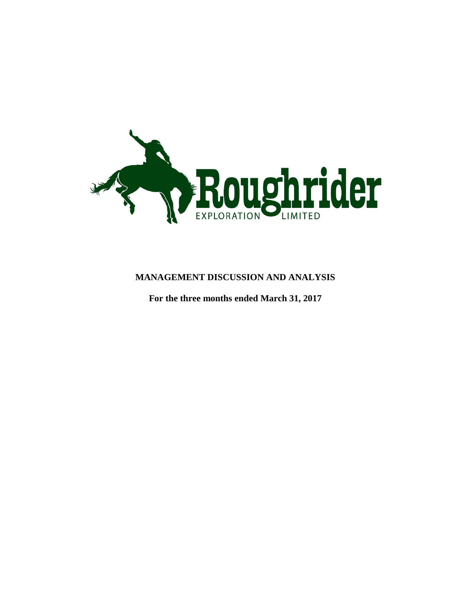

# **MANAGEMENT DISCUSSION AND ANALYSIS**

**For the three months ended March 31, 2017**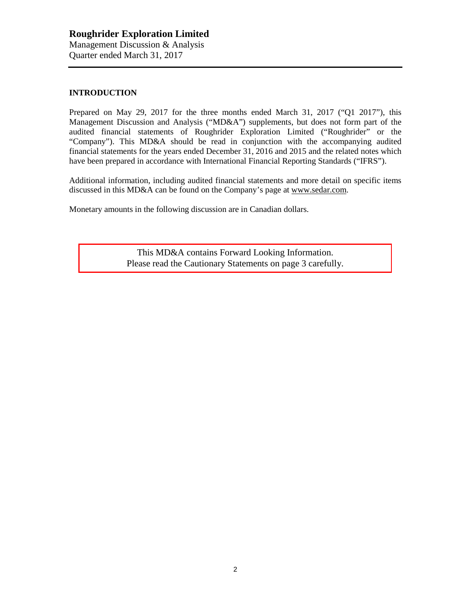## **INTRODUCTION**

Prepared on May 29, 2017 for the three months ended March 31, 2017 ("Q1 2017"), this Management Discussion and Analysis ("MD&A") supplements, but does not form part of the audited financial statements of Roughrider Exploration Limited ("Roughrider" or the "Company"). This MD&A should be read in conjunction with the accompanying audited financial statements for the years ended December 31, 2016 and 2015 and the related notes which have been prepared in accordance with International Financial Reporting Standards ("IFRS").

Additional information, including audited financial statements and more detail on specific items discussed in this MD&A can be found on the Company's page at [www.sedar.com.](http://www.sedar.com/)

Monetary amounts in the following discussion are in Canadian dollars.

This MD&A contains Forward Looking Information. Please read the Cautionary Statements on page 3 carefully.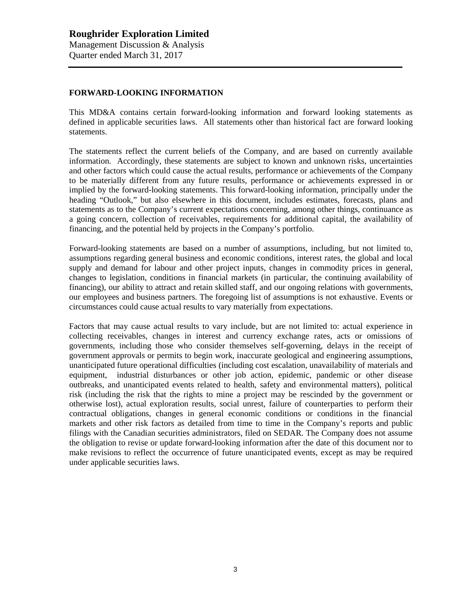## **FORWARD-LOOKING INFORMATION**

This MD&A contains certain forward-looking information and forward looking statements as defined in applicable securities laws. All statements other than historical fact are forward looking statements.

The statements reflect the current beliefs of the Company, and are based on currently available information. Accordingly, these statements are subject to known and unknown risks, uncertainties and other factors which could cause the actual results, performance or achievements of the Company to be materially different from any future results, performance or achievements expressed in or implied by the forward-looking statements. This forward-looking information, principally under the heading "Outlook," but also elsewhere in this document, includes estimates, forecasts, plans and statements as to the Company's current expectations concerning, among other things, continuance as a going concern, collection of receivables, requirements for additional capital, the availability of financing, and the potential held by projects in the Company's portfolio.

Forward-looking statements are based on a number of assumptions, including, but not limited to, assumptions regarding general business and economic conditions, interest rates, the global and local supply and demand for labour and other project inputs, changes in commodity prices in general, changes to legislation, conditions in financial markets (in particular, the continuing availability of financing), our ability to attract and retain skilled staff, and our ongoing relations with governments, our employees and business partners. The foregoing list of assumptions is not exhaustive. Events or circumstances could cause actual results to vary materially from expectations.

Factors that may cause actual results to vary include, but are not limited to: actual experience in collecting receivables, changes in interest and currency exchange rates, acts or omissions of governments, including those who consider themselves self-governing, delays in the receipt of government approvals or permits to begin work, inaccurate geological and engineering assumptions, unanticipated future operational difficulties (including cost escalation, unavailability of materials and equipment, industrial disturbances or other job action, epidemic, pandemic or other disease outbreaks, and unanticipated events related to health, safety and environmental matters), political risk (including the risk that the rights to mine a project may be rescinded by the government or otherwise lost), actual exploration results, social unrest, failure of counterparties to perform their contractual obligations, changes in general economic conditions or conditions in the financial markets and other risk factors as detailed from time to time in the Company's reports and public filings with the Canadian securities administrators, filed on SEDAR. The Company does not assume the obligation to revise or update forward-looking information after the date of this document nor to make revisions to reflect the occurrence of future unanticipated events, except as may be required under applicable securities laws.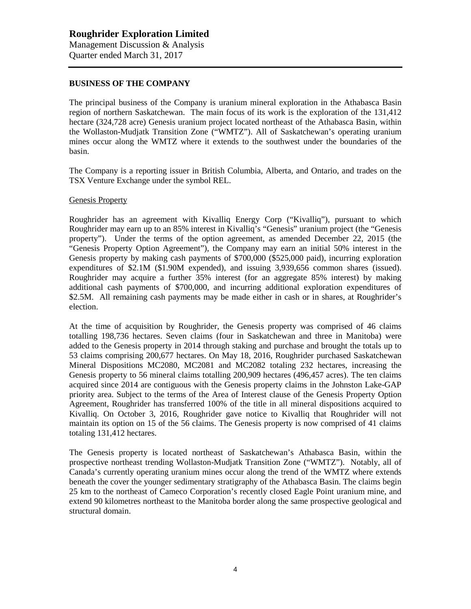### **BUSINESS OF THE COMPANY**

The principal business of the Company is uranium mineral exploration in the Athabasca Basin region of northern Saskatchewan. The main focus of its work is the exploration of the 131,412 hectare (324,728 acre) Genesis uranium project located northeast of the Athabasca Basin, within the Wollaston-Mudjatk Transition Zone ("WMTZ"). All of Saskatchewan's operating uranium mines occur along the WMTZ where it extends to the southwest under the boundaries of the basin.

The Company is a reporting issuer in British Columbia, Alberta, and Ontario, and trades on the TSX Venture Exchange under the symbol REL.

#### Genesis Property

Roughrider has an agreement with Kivalliq Energy Corp ("Kivalliq"), pursuant to which Roughrider may earn up to an 85% interest in Kivalliq's "Genesis" uranium project (the "Genesis property"). Under the terms of the option agreement, as amended December 22, 2015 (the "Genesis Property Option Agreement"), the Company may earn an initial 50% interest in the Genesis property by making cash payments of \$700,000 (\$525,000 paid), incurring exploration expenditures of \$2.1M (\$1.90M expended), and issuing 3,939,656 common shares (issued). Roughrider may acquire a further 35% interest (for an aggregate 85% interest) by making additional cash payments of \$700,000, and incurring additional exploration expenditures of \$2.5M. All remaining cash payments may be made either in cash or in shares, at Roughrider's election.

At the time of acquisition by Roughrider, the Genesis property was comprised of 46 claims totalling 198,736 hectares. Seven claims (four in Saskatchewan and three in Manitoba) were added to the Genesis property in 2014 through staking and purchase and brought the totals up to 53 claims comprising 200,677 hectares. On May 18, 2016, Roughrider purchased Saskatchewan Mineral Dispositions MC2080, MC2081 and MC2082 totaling 232 hectares, increasing the Genesis property to 56 mineral claims totalling 200,909 hectares (496,457 acres). The ten claims acquired since 2014 are contiguous with the Genesis property claims in the Johnston Lake-GAP priority area. Subject to the terms of the Area of Interest clause of the Genesis Property Option Agreement, Roughrider has transferred 100% of the title in all mineral dispositions acquired to Kivalliq. On October 3, 2016, Roughrider gave notice to Kivalliq that Roughrider will not maintain its option on 15 of the 56 claims. The Genesis property is now comprised of 41 claims totaling 131,412 hectares.

The Genesis property is located northeast of Saskatchewan's Athabasca Basin, within the prospective northeast trending Wollaston-Mudjatk Transition Zone ("WMTZ"). Notably, all of Canada's currently operating uranium mines occur along the trend of the WMTZ where extends beneath the cover the younger sedimentary stratigraphy of the Athabasca Basin. The claims begin 25 km to the northeast of Cameco Corporation's recently closed Eagle Point uranium mine, and extend 90 kilometres northeast to the Manitoba border along the same prospective geological and structural domain.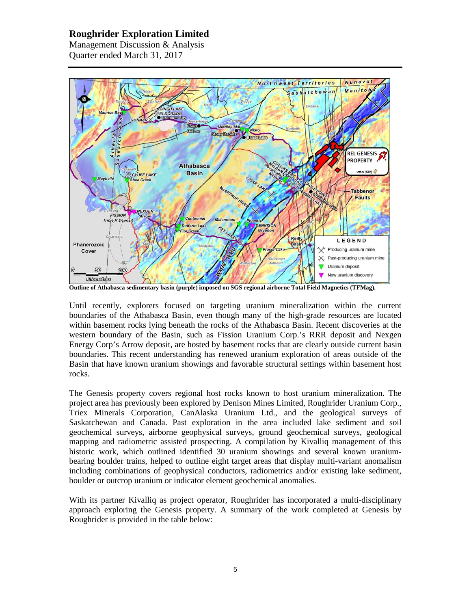Management Discussion & Analysis Quarter ended March 31, 2017



**Outline of Athabasca sedimentary basin (purple) imposed on SGS regional airborne Total Field Magnetics (TFMag).** 

Until recently, explorers focused on targeting uranium mineralization within the current boundaries of the Athabasca Basin, even though many of the high-grade resources are located within basement rocks lying beneath the rocks of the Athabasca Basin. Recent discoveries at the western boundary of the Basin, such as Fission Uranium Corp.'s RRR deposit and Nexgen Energy Corp's Arrow deposit, are hosted by basement rocks that are clearly outside current basin boundaries. This recent understanding has renewed uranium exploration of areas outside of the Basin that have known uranium showings and favorable structural settings within basement host rocks.

The Genesis property covers regional host rocks known to host uranium mineralization. The project area has previously been explored by Denison Mines Limited, Roughrider Uranium Corp., Triex Minerals Corporation, CanAlaska Uranium Ltd., and the geological surveys of Saskatchewan and Canada. Past exploration in the area included lake sediment and soil geochemical surveys, airborne geophysical surveys, ground geochemical surveys, geological mapping and radiometric assisted prospecting. A compilation by Kivalliq management of this historic work, which outlined identified 30 uranium showings and several known uraniumbearing boulder trains, helped to outline eight target areas that display multi-variant anomalism including combinations of geophysical conductors, radiometrics and/or existing lake sediment, boulder or outcrop uranium or indicator element geochemical anomalies.

With its partner Kivalliq as project operator, Roughrider has incorporated a multi-disciplinary approach exploring the Genesis property. A summary of the work completed at Genesis by Roughrider is provided in the table below: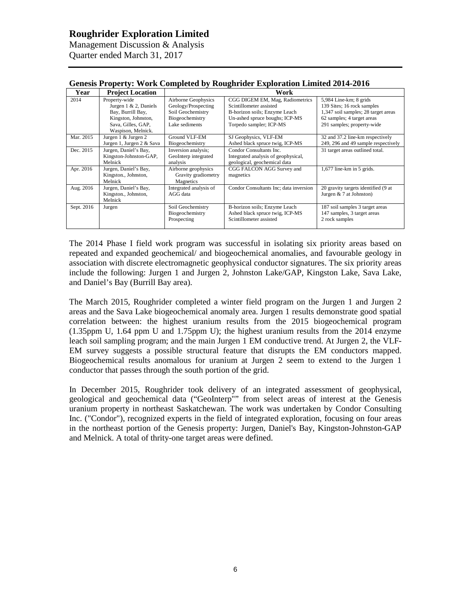Management Discussion & Analysis Quarter ended March 31, 2017

| $\alpha$ , $\alpha$ , $\alpha$ , $\alpha$ , $\alpha$ , $\alpha$ , $\alpha$ , $\alpha$ , $\alpha$ , $\alpha$ , $\alpha$ , $\alpha$ , $\alpha$ , $\alpha$ , $\alpha$ , $\alpha$ , $\alpha$ , $\alpha$ , $\alpha$ , $\alpha$ , $\alpha$ , $\alpha$ , $\alpha$ , $\alpha$ , $\alpha$ , $\alpha$ , $\alpha$ , $\alpha$ , $\alpha$ , $\alpha$ , $\alpha$ , $\alpha$ |                           |                        |                                        |                                     |  |  |  |
|---------------------------------------------------------------------------------------------------------------------------------------------------------------------------------------------------------------------------------------------------------------------------------------------------------------------------------------------------------------|---------------------------|------------------------|----------------------------------------|-------------------------------------|--|--|--|
| Year                                                                                                                                                                                                                                                                                                                                                          | <b>Project Location</b>   | Work                   |                                        |                                     |  |  |  |
| 2014                                                                                                                                                                                                                                                                                                                                                          | Property-wide             | Airborne Geophysics    | CGG DIGEM EM, Mag, Radiometrics        | 5,984 Line-km; 8 grids              |  |  |  |
|                                                                                                                                                                                                                                                                                                                                                               | Jurgen $1 \& 2$ , Daniels | Geology/Prospecting    | Scintillometer assisted                | 139 Sites; 16 rock samples          |  |  |  |
|                                                                                                                                                                                                                                                                                                                                                               | Bay, Burrill Bay,         | Soil Geochemistry      | B-horizon soils; Enzyme Leach          | 1,347 soil samples; 28 target areas |  |  |  |
|                                                                                                                                                                                                                                                                                                                                                               | Kingston, Johnston,       | Biogeochemistry        | Un-ashed spruce boughs; ICP-MS         | 62 samples; 4 target areas          |  |  |  |
|                                                                                                                                                                                                                                                                                                                                                               | Sava, Gilles, GAP,        | Lake sediments         | Torpedo sampler; ICP-MS                | 291 samples; property-wide          |  |  |  |
|                                                                                                                                                                                                                                                                                                                                                               | Waspison, Melnick.        |                        |                                        |                                     |  |  |  |
| Mar. 2015                                                                                                                                                                                                                                                                                                                                                     | Jurgen 1 & Jurgen 2       | Ground VLF-EM          | SJ Geophysics, VLF-EM                  | 32 and 37.2 line-km respectively    |  |  |  |
|                                                                                                                                                                                                                                                                                                                                                               | Jurgen 1, Jurgen 2 & Sava | Biogeochemistry        | Ashed black spruce twig, ICP-MS        | 249, 296 and 49 sample respectively |  |  |  |
| Dec. 2015                                                                                                                                                                                                                                                                                                                                                     | Jurgen, Daniel's Bay,     | Inversion analysis;    | Condor Consultants Inc.                | 31 target areas outlined total.     |  |  |  |
|                                                                                                                                                                                                                                                                                                                                                               | Kingston-Johnston-GAP,    | GeoInterp integrated   | Integrated analysis of geophysical,    |                                     |  |  |  |
|                                                                                                                                                                                                                                                                                                                                                               | Melnick                   | analysis               | geological, geochemical data           |                                     |  |  |  |
| Apr. 2016                                                                                                                                                                                                                                                                                                                                                     | Jurgen, Daniel's Bay,     | Airborne geophysics    | CGG FALCON AGG Survey and              | $1,677$ line-km in 5 grids.         |  |  |  |
|                                                                                                                                                                                                                                                                                                                                                               | Kingston., Johnston,      | Gravity gradiometry    | magnetics                              |                                     |  |  |  |
|                                                                                                                                                                                                                                                                                                                                                               | Melnick                   | Magnetics              |                                        |                                     |  |  |  |
| Aug. 2016                                                                                                                                                                                                                                                                                                                                                     | Jurgen, Daniel's Bay,     | Integrated analysis of | Condor Consultants Inc; data inversion | 20 gravity targets identified (9 at |  |  |  |
|                                                                                                                                                                                                                                                                                                                                                               | Kingston., Johnston,      | AGG data               |                                        | Jurgen $& 7$ at Johnston)           |  |  |  |
|                                                                                                                                                                                                                                                                                                                                                               | Melnick                   |                        |                                        |                                     |  |  |  |
| Sept. 2016                                                                                                                                                                                                                                                                                                                                                    | Jurgen                    | Soil Geochemistry      | B-horizon soils; Enzyme Leach          | 187 soil samples 3 target areas     |  |  |  |
|                                                                                                                                                                                                                                                                                                                                                               |                           | Biogeochemistry        | Ashed black spruce twig, ICP-MS        | 147 samples, 3 target areas         |  |  |  |
|                                                                                                                                                                                                                                                                                                                                                               |                           | Prospecting            | Scintillometer assisted                | 2 rock samples                      |  |  |  |
|                                                                                                                                                                                                                                                                                                                                                               |                           |                        |                                        |                                     |  |  |  |

#### **Genesis Property: Work Completed by Roughrider Exploration Limited 2014-2016**

The 2014 Phase I field work program was successful in isolating six priority areas based on repeated and expanded geochemical/ and biogeochemical anomalies, and favourable geology in association with discrete electromagnetic geophysical conductor signatures. The six priority areas include the following: Jurgen 1 and Jurgen 2, Johnston Lake/GAP, Kingston Lake, Sava Lake, and Daniel's Bay (Burrill Bay area).

The March 2015, Roughrider completed a winter field program on the Jurgen 1 and Jurgen 2 areas and the Sava Lake biogeochemical anomaly area. Jurgen 1 results demonstrate good spatial correlation between: the highest uranium results from the 2015 biogeochemical program (1.35ppm U, 1.64 ppm U and 1.75ppm U); the highest uranium results from the 2014 enzyme leach soil sampling program; and the main Jurgen 1 EM conductive trend. At Jurgen 2, the VLF-EM survey suggests a possible structural feature that disrupts the EM conductors mapped. Biogeochemical results anomalous for uranium at Jurgen 2 seem to extend to the Jurgen 1 conductor that passes through the south portion of the grid.

In December 2015, Roughrider took delivery of an integrated assessment of geophysical, geological and geochemical data ("GeoInterp"" from select areas of interest at the Genesis uranium property in northeast Saskatchewan. The work was undertaken by Condor Consulting Inc. ("Condor"), recognized experts in the field of integrated exploration, focusing on four areas in the northeast portion of the Genesis property: Jurgen, Daniel's Bay, Kingston-Johnston-GAP and Melnick. A total of thrity-one target areas were defined.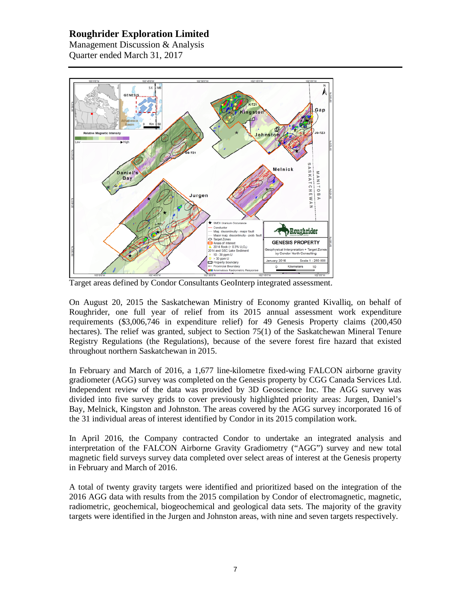Management Discussion & Analysis Quarter ended March 31, 2017



Target areas defined by Condor Consultants GeoInterp integrated assessment.

On August 20, 2015 the Saskatchewan Ministry of Economy granted Kivalliq, on behalf of Roughrider, one full year of relief from its 2015 annual assessment work expenditure requirements (\$3,006,746 in expenditure relief) for 49 Genesis Property claims (200,450 hectares). The relief was granted, subject to Section 75(1) of the Saskatchewan Mineral Tenure Registry Regulations (the Regulations), because of the severe forest fire hazard that existed throughout northern Saskatchewan in 2015.

In February and March of 2016, a 1,677 line-kilometre fixed-wing FALCON airborne gravity gradiometer (AGG) survey was completed on the Genesis property by CGG Canada Services Ltd. Independent review of the data was provided by 3D Geoscience Inc. The AGG survey was divided into five survey grids to cover previously highlighted priority areas: Jurgen, Daniel's Bay, Melnick, Kingston and Johnston. The areas covered by the AGG survey incorporated 16 of the 31 individual areas of interest identified by Condor in its 2015 compilation work.

In April 2016, the Company contracted Condor to undertake an integrated analysis and interpretation of the FALCON Airborne Gravity Gradiometry ("AGG") survey and new total magnetic field surveys survey data completed over select areas of interest at the Genesis property in February and March of 2016.

A total of twenty gravity targets were identified and prioritized based on the integration of the 2016 AGG data with results from the 2015 compilation by Condor of electromagnetic, magnetic, radiometric, geochemical, biogeochemical and geological data sets. The majority of the gravity targets were identified in the Jurgen and Johnston areas, with nine and seven targets respectively.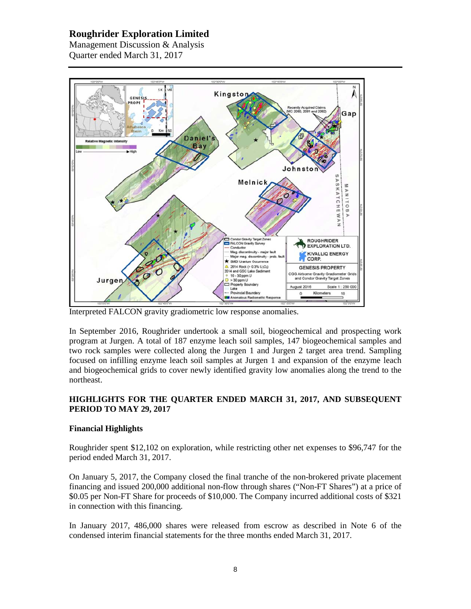Management Discussion & Analysis Quarter ended March 31, 2017



Interpreted FALCON gravity gradiometric low response anomalies.

In September 2016, Roughrider undertook a small soil, biogeochemical and prospecting work program at Jurgen. A total of 187 enzyme leach soil samples, 147 biogeochemical samples and two rock samples were collected along the Jurgen 1 and Jurgen 2 target area trend. Sampling focused on infilling enzyme leach soil samples at Jurgen 1 and expansion of the enzyme leach and biogeochemical grids to cover newly identified gravity low anomalies along the trend to the northeast.

# **HIGHLIGHTS FOR THE QUARTER ENDED MARCH 31, 2017, AND SUBSEQUENT PERIOD TO MAY 29, 2017**

# **Financial Highlights**

Roughrider spent \$12,102 on exploration, while restricting other net expenses to \$96,747 for the period ended March 31, 2017.

On January 5, 2017, the Company closed the final tranche of the non-brokered private placement financing and issued 200,000 additional non-flow through shares ("Non-FT Shares") at a price of \$0.05 per Non-FT Share for proceeds of \$10,000. The Company incurred additional costs of \$321 in connection with this financing.

In January 2017, 486,000 shares were released from escrow as described in Note 6 of the condensed interim financial statements for the three months ended March 31, 2017.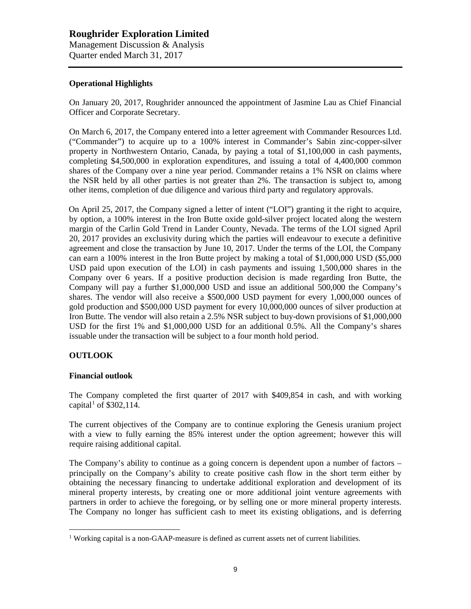## **Operational Highlights**

On January 20, 2017, Roughrider announced the appointment of Jasmine Lau as Chief Financial Officer and Corporate Secretary.

On March 6, 2017, the Company entered into a letter agreement with Commander Resources Ltd. ("Commander") to acquire up to a 100% interest in Commander's Sabin zinc-copper-silver property in Northwestern Ontario, Canada, by paying a total of \$1,100,000 in cash payments, completing \$4,500,000 in exploration expenditures, and issuing a total of 4,400,000 common shares of the Company over a nine year period. Commander retains a 1% NSR on claims where the NSR held by all other parties is not greater than 2%. The transaction is subject to, among other items, completion of due diligence and various third party and regulatory approvals.

On April 25, 2017, the Company signed a letter of intent ("LOI") granting it the right to acquire, by option, a 100% interest in the Iron Butte oxide gold-silver project located along the western margin of the Carlin Gold Trend in Lander County, Nevada. The terms of the LOI signed April 20, 2017 provides an exclusivity during which the parties will endeavour to execute a definitive agreement and close the transaction by June 10, 2017. Under the terms of the LOI, the Company can earn a 100% interest in the Iron Butte project by making a total of \$1,000,000 USD (\$5,000 USD paid upon execution of the LOI) in cash payments and issuing 1,500,000 shares in the Company over 6 years. If a positive production decision is made regarding Iron Butte, the Company will pay a further \$1,000,000 USD and issue an additional 500,000 the Company's shares. The vendor will also receive a \$500,000 USD payment for every 1,000,000 ounces of gold production and \$500,000 USD payment for every 10,000,000 ounces of silver production at Iron Butte. The vendor will also retain a 2.5% NSR subject to buy-down provisions of \$1,000,000 USD for the first 1% and \$1,000,000 USD for an additional 0.5%. All the Company's shares issuable under the transaction will be subject to a four month hold period.

# **OUTLOOK**

### **Financial outlook**

The Company completed the first quarter of 2017 with \$409,854 in cash, and with working capital<sup>[1](#page-8-0)</sup> of \$302,114.

The current objectives of the Company are to continue exploring the Genesis uranium project with a view to fully earning the 85% interest under the option agreement; however this will require raising additional capital.

The Company's ability to continue as a going concern is dependent upon a number of factors – principally on the Company's ability to create positive cash flow in the short term either by obtaining the necessary financing to undertake additional exploration and development of its mineral property interests, by creating one or more additional joint venture agreements with partners in order to achieve the foregoing, or by selling one or more mineral property interests. The Company no longer has sufficient cash to meet its existing obligations, and is deferring

<span id="page-8-0"></span> $<sup>1</sup>$  Working capital is a non-GAAP-measure is defined as current assets net of current liabilities.</sup>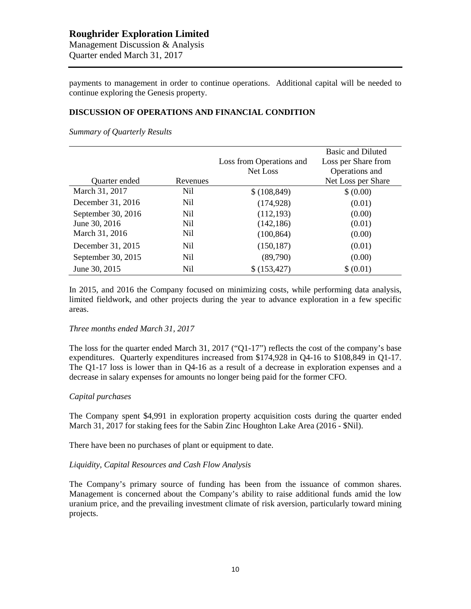payments to management in order to continue operations. Additional capital will be needed to continue exploring the Genesis property.

## **DISCUSSION OF OPERATIONS AND FINANCIAL CONDITION**

*Summary of Quarterly Results*

|                    |                 |                          | <b>Basic and Diluted</b> |
|--------------------|-----------------|--------------------------|--------------------------|
|                    |                 | Loss from Operations and | Loss per Share from      |
|                    |                 | Net Loss                 | Operations and           |
| Quarter ended      | Revenues        |                          | Net Loss per Share       |
| March 31, 2017     | Nil             | \$(108, 849)             | \$ (0.00)                |
| December 31, 2016  | N <sub>il</sub> | (174, 928)               | (0.01)                   |
| September 30, 2016 | N <sub>il</sub> | (112, 193)               | (0.00)                   |
| June 30, 2016      | Nil             | (142, 186)               | (0.01)                   |
| March 31, 2016     | Nil             | (100, 864)               | (0.00)                   |
| December 31, 2015  | N <sub>il</sub> | (150, 187)               | (0.01)                   |
| September 30, 2015 | Nil             | (89,790)                 | (0.00)                   |
| June 30, 2015      | Nil             | \$(153, 427)             | \$ (0.01)                |

In 2015, and 2016 the Company focused on minimizing costs, while performing data analysis, limited fieldwork, and other projects during the year to advance exploration in a few specific areas.

#### *Three months ended March 31, 2017*

The loss for the quarter ended March 31, 2017 (" $O1-17$ ") reflects the cost of the company's base expenditures. Quarterly expenditures increased from \$174,928 in Q4-16 to \$108,849 in Q1-17. The Q1-17 loss is lower than in Q4-16 as a result of a decrease in exploration expenses and a decrease in salary expenses for amounts no longer being paid for the former CFO.

### *Capital purchases*

The Company spent \$4,991 in exploration property acquisition costs during the quarter ended March 31, 2017 for staking fees for the Sabin Zinc Houghton Lake Area (2016 - \$Nil).

There have been no purchases of plant or equipment to date.

#### *Liquidity, Capital Resources and Cash Flow Analysis*

The Company's primary source of funding has been from the issuance of common shares. Management is concerned about the Company's ability to raise additional funds amid the low uranium price, and the prevailing investment climate of risk aversion, particularly toward mining projects.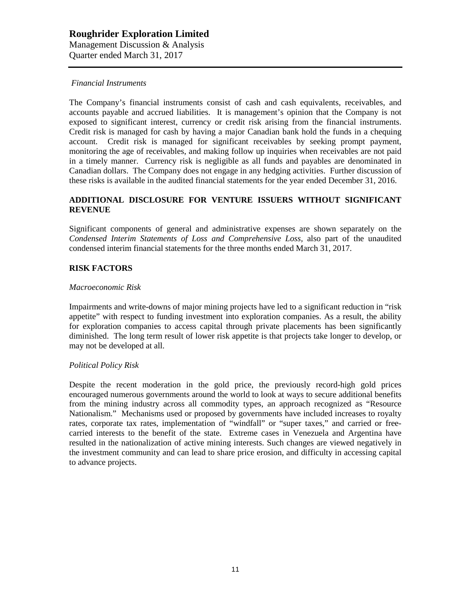### *Financial Instruments*

The Company's financial instruments consist of cash and cash equivalents, receivables, and accounts payable and accrued liabilities. It is management's opinion that the Company is not exposed to significant interest, currency or credit risk arising from the financial instruments. Credit risk is managed for cash by having a major Canadian bank hold the funds in a chequing account. Credit risk is managed for significant receivables by seeking prompt payment, monitoring the age of receivables, and making follow up inquiries when receivables are not paid in a timely manner. Currency risk is negligible as all funds and payables are denominated in Canadian dollars. The Company does not engage in any hedging activities. Further discussion of these risks is available in the audited financial statements for the year ended December 31, 2016.

## **ADDITIONAL DISCLOSURE FOR VENTURE ISSUERS WITHOUT SIGNIFICANT REVENUE**

Significant components of general and administrative expenses are shown separately on the *Condensed Interim Statements of Loss and Comprehensive Loss,* also part of the unaudited condensed interim financial statements for the three months ended March 31, 2017.

# **RISK FACTORS**

#### *Macroeconomic Risk*

Impairments and write-downs of major mining projects have led to a significant reduction in "risk appetite" with respect to funding investment into exploration companies. As a result, the ability for exploration companies to access capital through private placements has been significantly diminished. The long term result of lower risk appetite is that projects take longer to develop, or may not be developed at all.

### *Political Policy Risk*

Despite the recent moderation in the gold price, the previously record-high gold prices encouraged numerous governments around the world to look at ways to secure additional benefits from the mining industry across all commodity types, an approach recognized as "Resource Nationalism." Mechanisms used or proposed by governments have included increases to royalty rates, corporate tax rates, implementation of "windfall" or "super taxes," and carried or freecarried interests to the benefit of the state. Extreme cases in Venezuela and Argentina have resulted in the nationalization of active mining interests. Such changes are viewed negatively in the investment community and can lead to share price erosion, and difficulty in accessing capital to advance projects.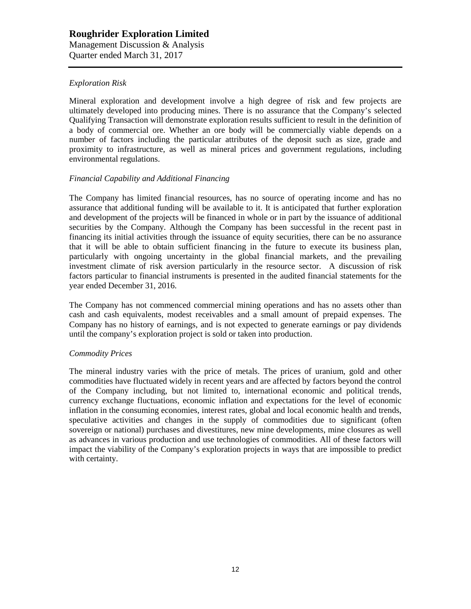# *Exploration Risk*

Mineral exploration and development involve a high degree of risk and few projects are ultimately developed into producing mines. There is no assurance that the Company's selected Qualifying Transaction will demonstrate exploration results sufficient to result in the definition of a body of commercial ore. Whether an ore body will be commercially viable depends on a number of factors including the particular attributes of the deposit such as size, grade and proximity to infrastructure, as well as mineral prices and government regulations, including environmental regulations.

### *Financial Capability and Additional Financing*

The Company has limited financial resources, has no source of operating income and has no assurance that additional funding will be available to it. It is anticipated that further exploration and development of the projects will be financed in whole or in part by the issuance of additional securities by the Company. Although the Company has been successful in the recent past in financing its initial activities through the issuance of equity securities, there can be no assurance that it will be able to obtain sufficient financing in the future to execute its business plan, particularly with ongoing uncertainty in the global financial markets, and the prevailing investment climate of risk aversion particularly in the resource sector. A discussion of risk factors particular to financial instruments is presented in the audited financial statements for the year ended December 31, 2016.

The Company has not commenced commercial mining operations and has no assets other than cash and cash equivalents, modest receivables and a small amount of prepaid expenses. The Company has no history of earnings, and is not expected to generate earnings or pay dividends until the company's exploration project is sold or taken into production.

### *Commodity Prices*

The mineral industry varies with the price of metals. The prices of uranium, gold and other commodities have fluctuated widely in recent years and are affected by factors beyond the control of the Company including, but not limited to, international economic and political trends, currency exchange fluctuations, economic inflation and expectations for the level of economic inflation in the consuming economies, interest rates, global and local economic health and trends, speculative activities and changes in the supply of commodities due to significant (often sovereign or national) purchases and divestitures, new mine developments, mine closures as well as advances in various production and use technologies of commodities. All of these factors will impact the viability of the Company's exploration projects in ways that are impossible to predict with certainty.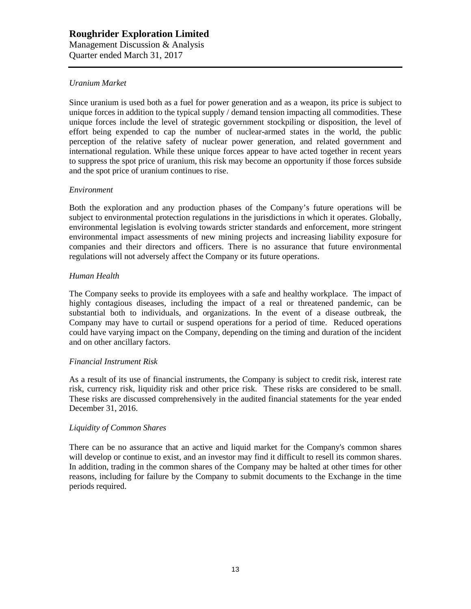## *Uranium Market*

Since uranium is used both as a fuel for power generation and as a weapon, its price is subject to unique forces in addition to the typical supply / demand tension impacting all commodities. These unique forces include the level of strategic government stockpiling or disposition, the level of effort being expended to cap the number of nuclear-armed states in the world, the public perception of the relative safety of nuclear power generation, and related government and international regulation. While these unique forces appear to have acted together in recent years to suppress the spot price of uranium, this risk may become an opportunity if those forces subside and the spot price of uranium continues to rise.

### *Environment*

Both the exploration and any production phases of the Company's future operations will be subject to environmental protection regulations in the jurisdictions in which it operates. Globally, environmental legislation is evolving towards stricter standards and enforcement, more stringent environmental impact assessments of new mining projects and increasing liability exposure for companies and their directors and officers. There is no assurance that future environmental regulations will not adversely affect the Company or its future operations.

### *Human Health*

The Company seeks to provide its employees with a safe and healthy workplace. The impact of highly contagious diseases, including the impact of a real or threatened pandemic, can be substantial both to individuals, and organizations. In the event of a disease outbreak, the Company may have to curtail or suspend operations for a period of time. Reduced operations could have varying impact on the Company, depending on the timing and duration of the incident and on other ancillary factors.

### *Financial Instrument Risk*

As a result of its use of financial instruments, the Company is subject to credit risk, interest rate risk, currency risk, liquidity risk and other price risk. These risks are considered to be small. These risks are discussed comprehensively in the audited financial statements for the year ended December 31, 2016.

### *Liquidity of Common Shares*

There can be no assurance that an active and liquid market for the Company's common shares will develop or continue to exist, and an investor may find it difficult to resell its common shares. In addition, trading in the common shares of the Company may be halted at other times for other reasons, including for failure by the Company to submit documents to the Exchange in the time periods required.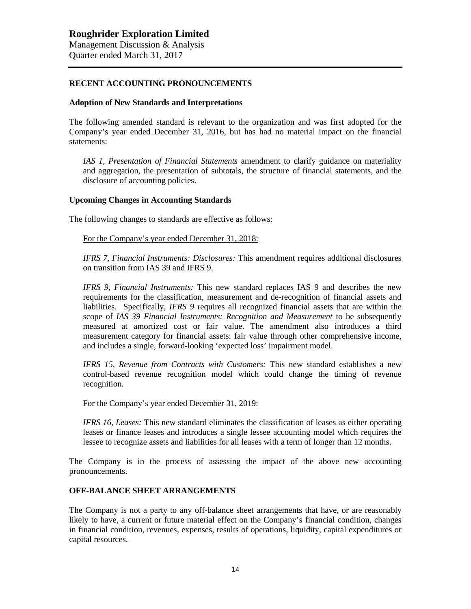### **RECENT ACCOUNTING PRONOUNCEMENTS**

#### **Adoption of New Standards and Interpretations**

The following amended standard is relevant to the organization and was first adopted for the Company's year ended December 31, 2016, but has had no material impact on the financial statements:

*IAS 1, Presentation of Financial Statements* amendment to clarify guidance on materiality and aggregation, the presentation of subtotals, the structure of financial statements, and the disclosure of accounting policies.

### **Upcoming Changes in Accounting Standards**

The following changes to standards are effective as follows:

For the Company's year ended December 31, 2018:

*IFRS 7, Financial Instruments: Disclosures:* This amendment requires additional disclosures on transition from IAS 39 and IFRS 9.

*IFRS 9, Financial Instruments:* This new standard replaces IAS 9 and describes the new requirements for the classification, measurement and de-recognition of financial assets and liabilities. Specifically, *IFRS 9* requires all recognized financial assets that are within the scope of *IAS 39 Financial Instruments: Recognition and Measurement* to be subsequently measured at amortized cost or fair value. The amendment also introduces a third measurement category for financial assets: fair value through other comprehensive income, and includes a single, forward-looking 'expected loss' impairment model.

*IFRS 15, Revenue from Contracts with Customers:* This new standard establishes a new control-based revenue recognition model which could change the timing of revenue recognition.

For the Company's year ended December 31, 2019:

*IFRS 16, Leases:* This new standard eliminates the classification of leases as either operating leases or finance leases and introduces a single lessee accounting model which requires the lessee to recognize assets and liabilities for all leases with a term of longer than 12 months.

The Company is in the process of assessing the impact of the above new accounting pronouncements.

### **OFF-BALANCE SHEET ARRANGEMENTS**

The Company is not a party to any off-balance sheet arrangements that have, or are reasonably likely to have, a current or future material effect on the Company's financial condition, changes in financial condition, revenues, expenses, results of operations, liquidity, capital expenditures or capital resources.